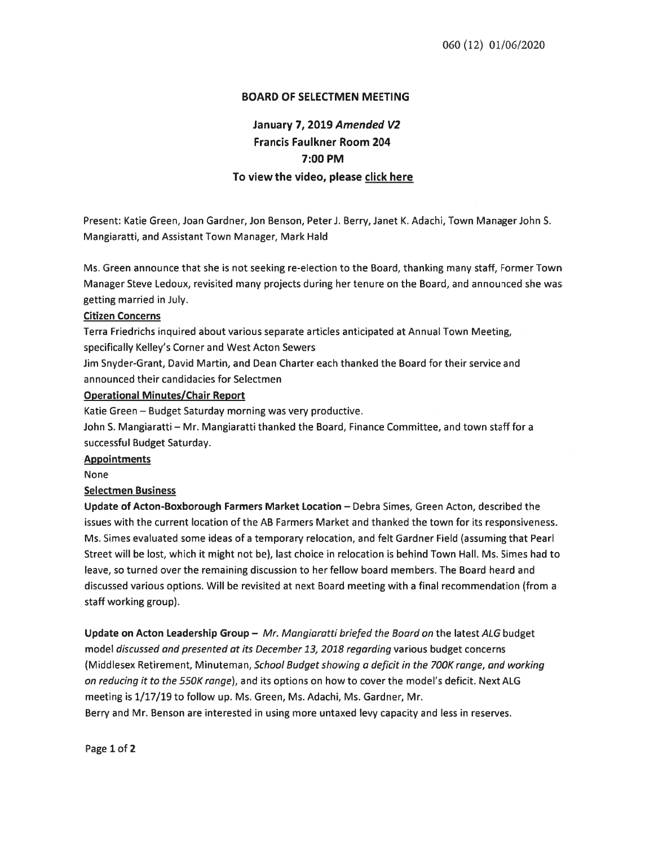## BOARD OF SELECTMEN MEETING

# January 7, 2019 Amended V2 Francis Faulkner Room 204 7:00 PM To view the video, please click here

Present: Katie Green, Joan Gardner, Jon Benson, PeterJ. Berry, Janet K. Adachi, Town Manager John S. Mangiaratti, and Assistant Town Manager, Mark Hald

Ms. Green announce that she is not seeking re-election to the Board, thanking many staff, Former Town Manager Steve Ledoux, revisited many projects during her tenure on the Board, and announced she was getting married in July.

#### Citizen Concerns

Terra Friedrichs inquired about various separate articles anticipated at Annual Town Meeting, specifically Kelley's Corner and West Acton Sewers

Jim Snyder-Grant, David Martin, and Dean Charter each thanked the Board for their service and announced their candidacies for Selectmen

#### Operational Minutes/Chair Report

Katie Green — Budget Saturday morning was very productive.

John S. Mangiaratti — Mr. Mangiaratti thanked the Board, Finance Committee, and town staff for <sup>a</sup> successful Budget Saturday.

#### **Appointments**

None

## Selectmen Business

Update of Acton-Boxborough Farmers Market Location — Debra Simes, Green Acton, described the issues with the current location of the AB Farmers Market and thanked the town for its responsiveness. Ms. Simes evaluated some ideas of <sup>a</sup> temporary relocation, and felt Gardner Field (assuming that Pearl Street will be lost, which it might not be), last choice in relocation is behind Town Hall. Ms. Simes had to leave, so turned over the remaining discussion to her fellow board members. The Board heard and discussed various options. Will be revisited at next Board meeting with <sup>a</sup> final recommendation (from <sup>a</sup> staff working group).

Update on Acton Leadership Group - Mr. Mangiaratti briefed the Board on the latest ALG budget model discussed and presented at its December 13, 2018 regarding various budget concerns (Middlesex Retirement, Minuteman, School Budget showing a deficit in the 700K range, and working on reducing it to the 550K range), and its options on how to cover the model's deficit. Next ALG meeting is 1/17/19 to follow up. Ms. Green, Ms. Adachi, Ms. Gardner, Mr. Berry and Mr. Benson are interested in using more untaxed levy capacity and less in reserves.

Page 1 of 2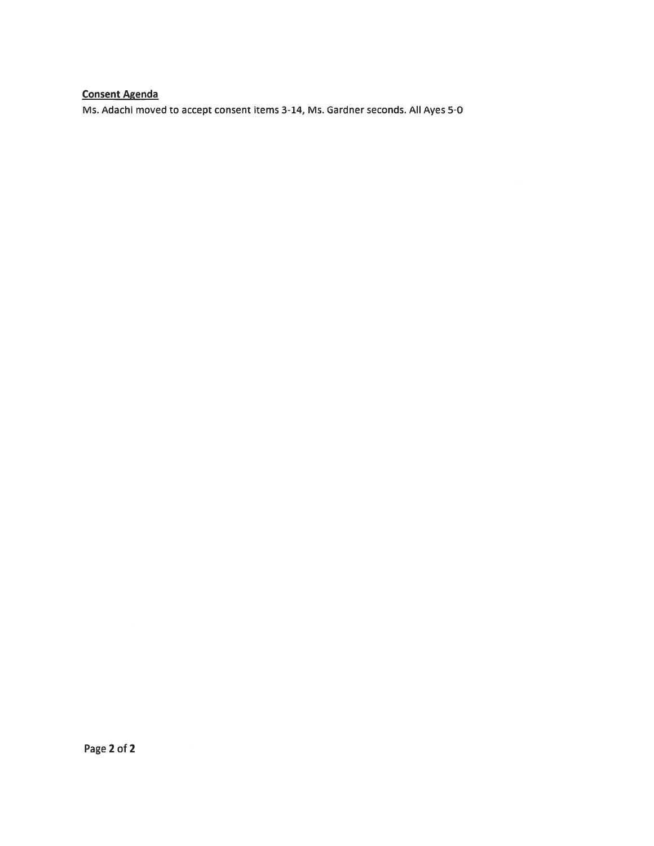# Consent Agenda

Ms. Adachi moved to accep<sup>t</sup> consent items 3-14, Ms. Gardner seconds. All Ayes 5-0